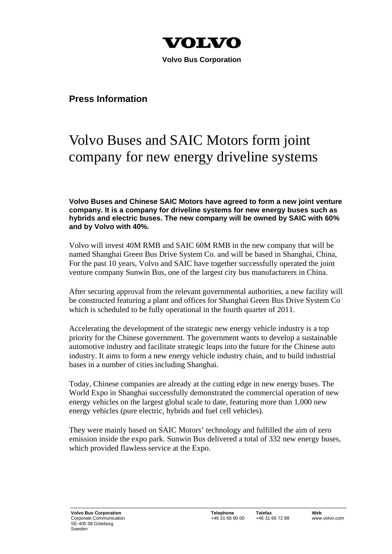

 **Volvo Bus Corporation** 

## **Press Information**

## Volvo Buses and SAIC Motors form joint company for new energy driveline systems

**Volvo Buses and Chinese SAIC Motors have agreed to form a new joint venture company. It is a company for driveline systems for new energy buses such as hybrids and electric buses. The new company will be owned by SAIC with 60% and by Volvo with 40%.** 

Volvo will invest 40M RMB and SAIC 60M RMB in the new company that will be named Shanghai Green Bus Drive System Co. and will be based in Shanghai, China, For the past 10 years, Volvo and SAIC have together successfully operated the joint venture company Sunwin Bus, one of the largest city bus manufacturers in China.

After securing approval from the relevant governmental authorities, a new facility will be constructed featuring a plant and offices for Shanghai Green Bus Drive System Co which is scheduled to be fully operational in the fourth quarter of 2011.

Accelerating the development of the strategic new energy vehicle industry is a top priority for the Chinese government. The government wants to develop a sustainable automotive industry and facilitate strategic leaps into the future for the Chinese auto industry. It aims to form a new energy vehicle industry chain, and to build industrial bases in a number of cities including Shanghai.

Today, Chinese companies are already at the cutting edge in new energy buses. The World Expo in Shanghai successfully demonstrated the commercial operation of new energy vehicles on the largest global scale to date, featuring more than 1,000 new energy vehicles (pure electric, hybrids and fuel cell vehicles).

They were mainly based on SAIC Motors' technology and fulfilled the aim of zero emission inside the expo park. Sunwin Bus delivered a total of 332 new energy buses, which provided flawless service at the Expo.